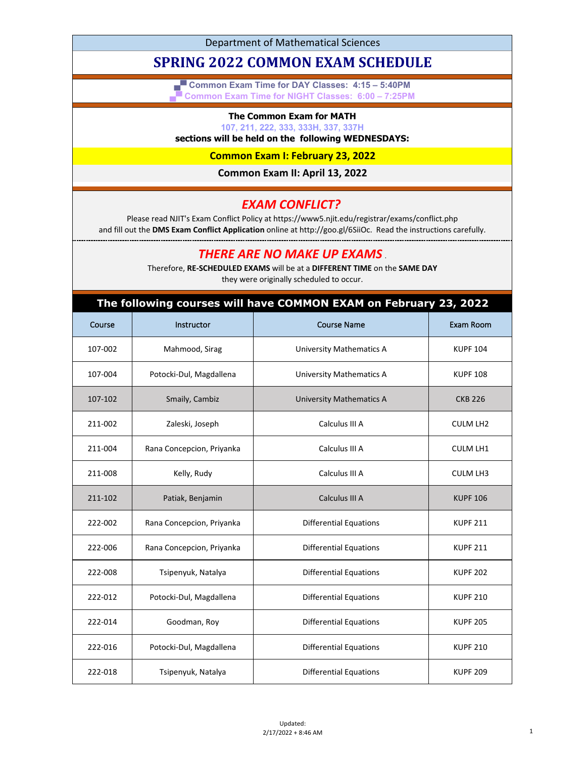Department of Mathematical Sciences

# **SPRING 2022 COMMON EXAM SCHEDULE**

**▄▀ Common Exam Time for DAY Classes: 4:15 – 5:40PM ▄▀ Common Exam Time for NIGHT Classes: 6:00 – 7:25PM**

#### **The Common Exam for MATH**

**107, 211, 222, 333, 333H, 337, 337H**

### **sections will be held on the following WEDNESDAYS:**

**Common Exam I: February 23, 2022**

**Common Exam II: April 13, 2022**

### *EXAM CONFLICT?*

Please read NJIT's Exam Conflict Policy at https://www5.njit.edu/registrar/exams/conflict.php and fill out the **DMS Exam Conflict Application** online at http://goo.gl/6SiiOc. Read the instructions carefully.

## *THERE ARE NO MAKE UP EXAMS* .

Therefore, **RE-SCHEDULED EXAMS** will be at a **DIFFERENT TIME** on the **SAME DAY** they were originally scheduled to occur.

| The following courses will have COMMON EXAM on February 23, 2022 |                           |                                 |                 |  |
|------------------------------------------------------------------|---------------------------|---------------------------------|-----------------|--|
| Course                                                           | Instructor                | <b>Course Name</b>              | Exam Room       |  |
| 107-002                                                          | Mahmood, Sirag            | <b>University Mathematics A</b> | <b>KUPF 104</b> |  |
| 107-004                                                          | Potocki-Dul, Magdallena   | <b>University Mathematics A</b> | <b>KUPF 108</b> |  |
| 107-102                                                          | Smaily, Cambiz            | <b>University Mathematics A</b> | <b>CKB 226</b>  |  |
| 211-002                                                          | Zaleski, Joseph           | Calculus III A                  | <b>CULM LH2</b> |  |
| 211-004                                                          | Rana Concepcion, Priyanka | Calculus III A                  | <b>CULM LH1</b> |  |
| 211-008                                                          | Kelly, Rudy               | Calculus III A                  | <b>CULM LH3</b> |  |
| 211-102                                                          | Patiak, Benjamin          | Calculus III A                  | <b>KUPF 106</b> |  |
| 222-002                                                          | Rana Concepcion, Priyanka | <b>Differential Equations</b>   | <b>KUPF 211</b> |  |
| 222-006                                                          | Rana Concepcion, Priyanka | <b>Differential Equations</b>   | <b>KUPF 211</b> |  |
| 222-008                                                          | Tsipenyuk, Natalya        | <b>Differential Equations</b>   | <b>KUPF 202</b> |  |
| 222-012                                                          | Potocki-Dul, Magdallena   | <b>Differential Equations</b>   | <b>KUPF 210</b> |  |
| 222-014                                                          | Goodman, Roy              | <b>Differential Equations</b>   | <b>KUPF 205</b> |  |
| 222-016                                                          | Potocki-Dul, Magdallena   | <b>Differential Equations</b>   | <b>KUPF 210</b> |  |
| 222-018                                                          | Tsipenyuk, Natalya        | <b>Differential Equations</b>   | <b>KUPF 209</b> |  |